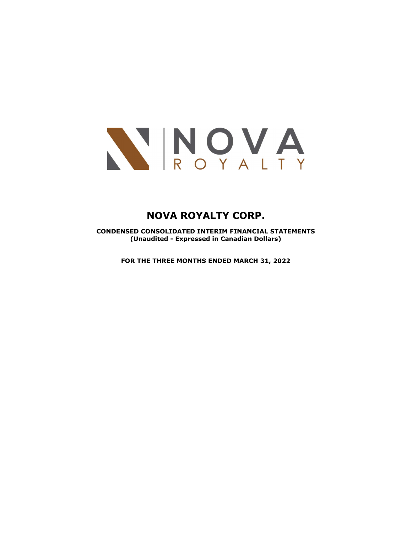

CONDENSED CONSOLIDATED INTERIM FINANCIAL STATEMENTS (Unaudited - Expressed in Canadian Dollars)

FOR THE THREE MONTHS ENDED MARCH 31, 2022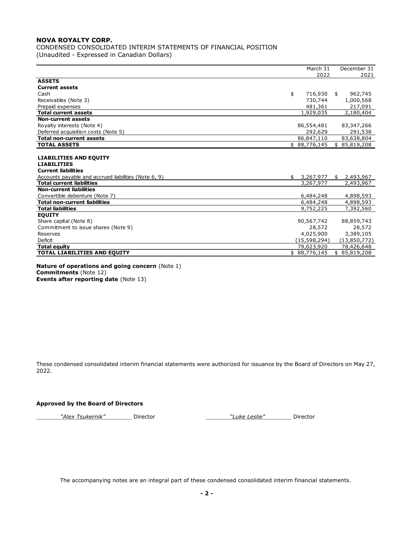| <b>NOVA ROYALTY CORP.</b>                                       |                           |              |
|-----------------------------------------------------------------|---------------------------|--------------|
| CONDENSED CONSOLIDATED INTERIM STATEMENTS OF FINANCIAL POSITION |                           |              |
| (Unaudited - Expressed in Canadian Dollars)                     |                           |              |
|                                                                 |                           |              |
|                                                                 | March 31                  | December 31  |
|                                                                 | 2022                      | 2021         |
| <b>ASSETS</b>                                                   |                           |              |
| <b>Current assets</b>                                           |                           |              |
| Cash                                                            | 716,930 \$<br>\$          | 962,745      |
| Receivables (Note 3)                                            | 730,744                   | 1,000,568    |
| Prepaid expenses                                                | 481,361                   | 217,091      |
| <b>Total current assets</b>                                     | 1,929,035                 | 2,180,404    |
| <b>Non-current assets</b>                                       |                           |              |
| Royalty interests (Note 4)                                      | 86,554,481                | 83,347,266   |
| Deferred acquisition costs (Note 5)                             | 292,629                   | 291,538      |
| <b>Total non-current assets</b>                                 | 86,847,110                | 83,638,804   |
| <b>TOTAL ASSETS</b>                                             | \$88,776,145              | \$85,819,208 |
|                                                                 |                           |              |
| <b>LIABILITIES AND EQUITY</b>                                   |                           |              |
| <b>LIABILITIES</b>                                              |                           |              |
| <b>Current liabilities</b>                                      |                           |              |
| Accounts payable and accrued liabilities (Note 6, 9)            | \$3,267,977               | \$ 2,493,967 |
| <b>Total current liabilities</b>                                | 3,267,977                 | 2,493,967    |
| <b>Non-current liabilities</b>                                  |                           |              |
| Convertible debenture (Note 7)                                  | 6,484,248                 | 4,898,593    |
| <b>Total non-current liabilities</b>                            | 6,484,248                 | 4,898,593    |
| <b>Total liabilities</b>                                        | 9,752,225                 | 7,392,560    |
| <b>EQUITY</b>                                                   |                           |              |
| Share capital (Note 8)                                          | 90,567,742                | 88,859,743   |
| Commitment to issue shares (Note 9)                             | 28,572                    | 28,572       |
| Reserves                                                        | 4,025,900                 | 3,389,105    |
| Deficit                                                         | (15, 598, 294)            | (13,850,772) |
| <b>Total equity</b>                                             | 79,023,920                | 78,426,648   |
|                                                                 | \$88,776,145 \$85,819,208 |              |
| <b>TOTAL LIABILITIES AND EQUITY</b>                             |                           |              |

Nature of operations and going concern (Note 1) Commitments (Note 12) Events after reporting date (Note 13)

These condensed consolidated interim financial statements were authorized for issuance by the Board of Directors on May 27, 2022.

#### Approved by the Board of Directors

"Alex Tsukernik" Director Chronic Controller Music Chronic Music Police Director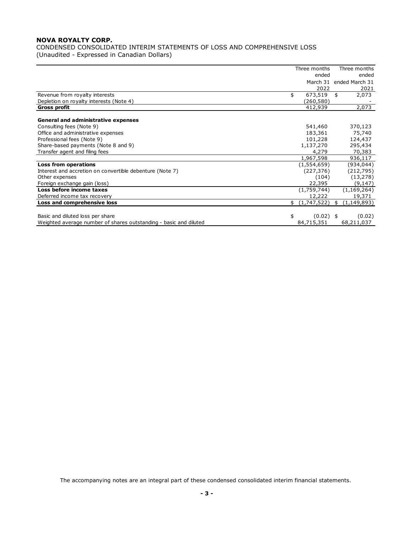| <b>NOVA ROYALTY CORP.</b>                                                 |                                       |                         |
|---------------------------------------------------------------------------|---------------------------------------|-------------------------|
| CONDENSED CONSOLIDATED INTERIM STATEMENTS OF LOSS AND COMPREHENSIVE LOSS  |                                       |                         |
| (Unaudited - Expressed in Canadian Dollars)                               |                                       |                         |
|                                                                           |                                       |                         |
|                                                                           | Three months                          | Three months            |
|                                                                           | ended                                 | ended                   |
|                                                                           |                                       | March 31 ended March 31 |
|                                                                           | 2022<br>$673,519$ \$                  | 2021<br>2,073           |
| Revenue from royalty interests<br>Depletion on royalty interests (Note 4) | \$<br>(260, 580)                      |                         |
| <b>Gross profit</b>                                                       | 412,939                               | 2,073                   |
|                                                                           |                                       |                         |
| General and administrative expenses                                       |                                       |                         |
|                                                                           |                                       | 370,123                 |
| Consulting fees (Note 9)                                                  | 541,460                               |                         |
| Office and administrative expenses                                        | 183,361                               | 75,740                  |
| Professional fees (Note 9)                                                | 101,228                               | 124,437                 |
| Share-based payments (Note 8 and 9)                                       | 1,137,270                             | 295,434                 |
| Transfer agent and filing fees                                            | 4,279                                 | 70,383                  |
|                                                                           | 1,967,598                             | 936,117                 |
| Loss from operations                                                      | (1, 554, 659)                         | (934, 044)              |
| Interest and accretion on convertible debenture (Note 7)                  | (227, 376)                            | (212, 795)              |
| Other expenses                                                            | (104)                                 | (13, 278)               |
| Foreign exchange gain (loss)                                              | 22,395                                | (9, 147)                |
| Loss before income taxes                                                  | (1,759,744)                           | (1, 169, 264)           |
| Deferred income tax recovery<br>Loss and comprehensive loss               | 12,222<br>\$(1,747,522) \$(1,149,893) | 19,371                  |
|                                                                           |                                       |                         |
| Basic and diluted loss per share                                          | $(0.02)$ \$<br>\$                     | (0.02)                  |
|                                                                           |                                       |                         |
| Weighted average number of shares outstanding - basic and diluted         | 84,715,351                            | 68,211,037              |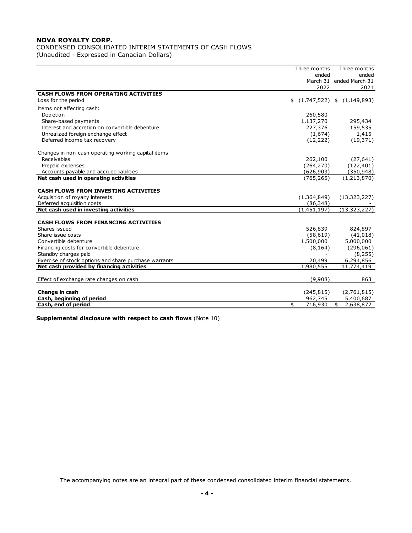## CONDENSED CONSOLIDATED INTERIM STATEMENTS OF CASH FLOWS

| <b>NOVA ROYALTY CORP.</b>                                           |                          |                                 |
|---------------------------------------------------------------------|--------------------------|---------------------------------|
| CONDENSED CONSOLIDATED INTERIM STATEMENTS OF CASH FLOWS             |                          |                                 |
| (Unaudited - Expressed in Canadian Dollars)                         |                          |                                 |
|                                                                     | Three months             | Three months                    |
|                                                                     | ended                    | ended                           |
|                                                                     | 2022                     | March 31 ended March 31<br>2021 |
| <b>CASH FLOWS FROM OPERATING ACTIVITIES</b>                         |                          |                                 |
| Loss for the period                                                 |                          | \$(1,747,522) \$(1,149,893)     |
| Items not affecting cash:<br>Depletion                              | 260,580                  |                                 |
| Share-based payments                                                | 1,137,270                | 295,434                         |
| Interest and accretion on convertible debenture                     | 227,376                  | 159,535                         |
| Unrealized foreign exchange effect<br>Deferred income tax recovery  | (1,674)<br>(12, 222)     | 1,415<br>(19, 371)              |
|                                                                     |                          |                                 |
| Changes in non-cash operating working capital items<br>Receivables  | 262,100                  | (27, 641)                       |
| Prepaid expenses                                                    | (264, 270)               | (122, 401)                      |
| Accounts payable and accrued liabilities                            | (626, 903)               | (350, 948)                      |
| Net cash used in operating activities                               | (765, 265)               | (1,213,870)                     |
| CASH FLOWS FROM INVESTING ACTIVITIES                                |                          |                                 |
| Acquisition of royalty interests                                    | (1,364,849)              | (13, 323, 227)                  |
| Deferred acquisition costs<br>Net cash used in investing activities | (86, 348)<br>(1,451,197) | (13,323,227)                    |
| <b>CASH FLOWS FROM FINANCING ACTIVITIES</b>                         |                          |                                 |
| Shares issued                                                       | 526,839                  | 824,897                         |
| Share issue costs                                                   | (58, 619)                | (41, 018)                       |
| Convertible debenture                                               | 1,500,000                | 5,000,000                       |
| Financing costs for convertible debenture<br>Standby charges paid   | (8, 164)                 | (296, 061)                      |
| Exercise of stock options and share purchase warrants               | 20,499                   | (8, 255)<br>6,294,856           |
| Net cash provided by financing activities                           | 1,980,555                | 11,774,419                      |
|                                                                     | (9,908)                  | 863                             |
| Effect of exchange rate changes on cash                             |                          |                                 |
|                                                                     |                          |                                 |
| Change in cash<br>Cash, beginning of period                         | (245, 815)<br>962,745    | (2,761,815)<br>5,400,687        |

Supplemental disclosure with respect to cash flows (Note 10)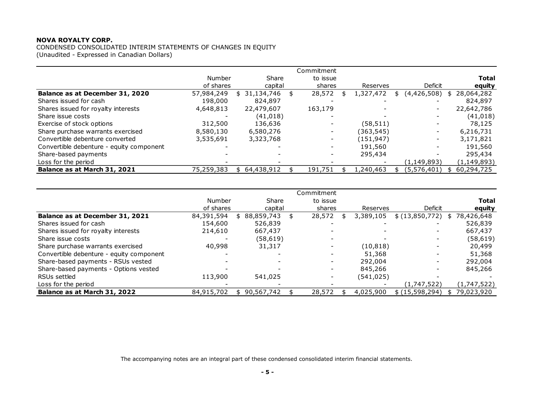| <b>NOVA ROYALTY CORP.</b>                                                                                               |                         |                         |               |                  |                             |                              |                                      |
|-------------------------------------------------------------------------------------------------------------------------|-------------------------|-------------------------|---------------|------------------|-----------------------------|------------------------------|--------------------------------------|
| CONDENSED CONSOLIDATED INTERIM STATEMENTS OF CHANGES IN EQUITY                                                          |                         |                         |               |                  |                             |                              |                                      |
| (Unaudited - Expressed in Canadian Dollars)                                                                             |                         |                         |               |                  |                             |                              |                                      |
|                                                                                                                         |                         |                         |               |                  |                             |                              |                                      |
|                                                                                                                         |                         |                         |               | Commitment       |                             |                              |                                      |
|                                                                                                                         | Number                  | Share                   |               | to issue         |                             |                              | <b>Total</b>                         |
| Balance as at December 31, 2020                                                                                         | of shares<br>57,984,249 | capital<br>\$31,134,746 | $\frac{1}{2}$ | shares<br>28,572 | Reserves<br>1,327,472<br>-S | Deficit<br>(4,426,508)<br>\$ | equity<br>$\overline{\$}$ 28,064,282 |
| Shares issued for cash                                                                                                  | 198,000                 | 824,897                 |               |                  |                             |                              | 824,897                              |
| Shares issued for royalty interests                                                                                     | 4,648,813               | 22,479,607              |               | 163,179          |                             |                              | 22,642,786                           |
| Share issue costs                                                                                                       | $\sim$                  | (41, 018)               |               |                  |                             |                              | (41, 018)                            |
| Exercise of stock options                                                                                               | 312,500                 | 136,636                 |               |                  | (58, 511)                   |                              | 78,125                               |
|                                                                                                                         | 8,580,130               | 6,580,276               |               |                  | (363, 545)                  |                              | 6,216,731                            |
|                                                                                                                         |                         |                         |               |                  | (151, 947)                  |                              |                                      |
| Share purchase warrants exercised                                                                                       |                         |                         |               |                  |                             |                              |                                      |
| Convertible debenture converted                                                                                         | 3,535,691               | 3,323,768               |               |                  |                             |                              | 3,171,821                            |
|                                                                                                                         |                         |                         |               |                  | 191,560                     |                              | 191,560                              |
|                                                                                                                         |                         |                         |               |                  | 295,434                     |                              | 295,434                              |
|                                                                                                                         |                         |                         |               |                  |                             | (1, 149, 893)                | (1, 149, 893)                        |
| Convertible debenture - equity component<br>Share-based payments<br>Loss for the period<br>Balance as at March 31, 2021 | 75,259,383              | 64,438,912<br>\$        | \$            | 191,751          | 1,240,463                   | (5, 576, 401)<br>\$          | 60,294,725<br>\$                     |
|                                                                                                                         |                         |                         |               |                  |                             |                              |                                      |
|                                                                                                                         |                         |                         |               |                  |                             |                              |                                      |
|                                                                                                                         |                         |                         |               | Commitment       |                             |                              |                                      |
|                                                                                                                         | Number                  | Share                   |               | to issue         |                             |                              | <b>Total</b>                         |
|                                                                                                                         | of shares               | capital                 |               | shares           | Reserves<br>\$              | Deficit                      | equity                               |
| Balance as at December 31, 2021<br>Shares issued for cash                                                               | 84,391,594              | \$88,859,743            | \$            | 28,572           | 3,389,105                   | \$(13,850,772)               | \$78,426,648                         |
|                                                                                                                         | 154,600                 | 526,839                 |               |                  |                             |                              | 526,839                              |
| Shares issued for royalty interests<br>Share issue costs                                                                | 214,610                 | 667,437<br>(58, 619)    |               |                  |                             |                              | 667,437<br>(58, 619)                 |

|                                                          |                         |                         | Commitment             |                       |                           |                            |
|----------------------------------------------------------|-------------------------|-------------------------|------------------------|-----------------------|---------------------------|----------------------------|
|                                                          | Number                  | Share                   | to issue               |                       |                           | <b>Total</b>               |
|                                                          | of shares               | capital                 | shares                 | Reserves              | Deficit                   | equity                     |
| Balance as at December 31, 2020                          | 57,984,249              | \$31,134,746            | \$<br>28,572           | 1,327,472             | (4,426,508)<br>\$         | 28,064,282                 |
| Shares issued for cash                                   | 198,000                 | 824,897                 |                        |                       |                           | 824,897                    |
| Shares issued for royalty interests                      | 4,648,813               | 22,479,607              | 163,179                |                       |                           | 22,642,786                 |
| Share issue costs                                        |                         | (41, 018)               |                        |                       |                           | (41, 018)                  |
| Exercise of stock options                                | 312,500                 | 136,636                 |                        | (58, 511)             |                           | 78,125                     |
| Share purchase warrants exercised                        | 8,580,130               | 6,580,276               |                        | (363, 545)            |                           | 6,216,731                  |
| Convertible debenture converted                          | 3,535,691               | 3,323,768               |                        | (151, 947)            |                           | 3,171,821                  |
| Convertible debenture - equity component                 |                         |                         |                        | 191,560               |                           | 191,560                    |
| Share-based payments                                     |                         |                         |                        | 295,434               |                           | 295,434                    |
| Loss for the period                                      |                         |                         |                        |                       | (1, 149, 893)             | (1, 149, 893)              |
| Balance as at March 31, 2021                             | 75,259,383              | \$64,438,912            | \$<br>191,751          | 1,240,463             | (5,576,401)<br>\$         | \$60,294,725               |
|                                                          |                         |                         |                        |                       |                           |                            |
|                                                          | Number                  | Share                   | Commitment<br>to issue |                       |                           | <b>Total</b>               |
|                                                          |                         |                         |                        |                       |                           |                            |
| Balance as at December 31, 2021                          | of shares<br>84,391,594 | capital<br>\$88,859,743 | \$<br>shares<br>28,572 | Reserves<br>3,389,105 | Deficit<br>\$(13,850,772) | equity<br>78,426,648<br>\$ |
| Shares issued for cash                                   | 154,600                 | 526,839                 |                        |                       |                           | 526,839                    |
|                                                          |                         |                         |                        |                       |                           | 667,437                    |
| Shares issued for royalty interests<br>Share issue costs | 214,610                 | 667,437<br>(58, 619)    |                        |                       |                           | (58, 619)                  |
| Share purchase warrants exercised                        | 40,998                  | 31,317                  |                        | (10, 818)             |                           | 20,499                     |
| Convertible debenture - equity component                 |                         |                         |                        | 51,368                |                           | 51,368                     |
| Share-based payments - RSUs vested                       |                         |                         |                        | 292,004               |                           | 292,004                    |
| Share-based payments - Options vested                    |                         |                         |                        | 845,266               |                           | 845,266                    |
| RSUs settled                                             | 113,900                 | 541,025                 |                        | (541, 025)            |                           |                            |
| Loss for the period                                      |                         |                         |                        |                       | (1,747,522)               | (1,747,522)                |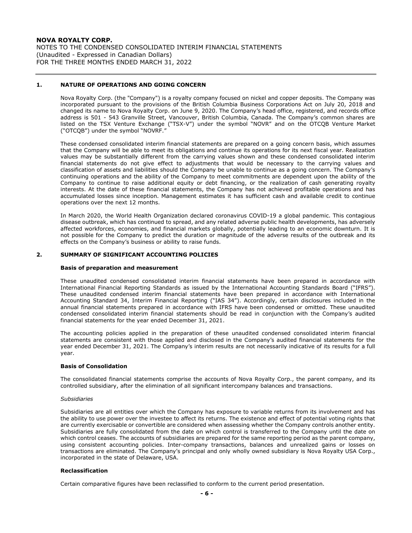## NOVA ROYALTY CORP. NOTES TO THE CONDENSED CONSOLIDATED INTERIM FINANCIAL STATEMENTS (Unaudited - Expressed in Canadian Dollars) FOR THE THREE MONTHS ENDED MARCH 31, 2022

### 1. NATURE OF OPERATIONS AND GOING CONCERN

Nova Royalty Corp. (the "Company") is a royalty company focused on nickel and copper deposits. The Company was incorporated pursuant to the provisions of the British Columbia Business Corporations Act on July 20, 2018 and changed its name to Nova Royalty Corp. on June 9, 2020. The Company's head office, registered, and records office address is 501 - 543 Granville Street, Vancouver, British Columbia, Canada. The Company's common shares are listed on the TSX Venture Exchange ("TSX-V") under the symbol "NOVR" and on the OTCQB Venture Market ("OTCQB") under the symbol "NOVRF."

These condensed consolidated interim financial statements are prepared on a going concern basis, which assumes that the Company will be able to meet its obligations and continue its operations for its next fiscal year. Realization values may be substantially different from the carrying values shown and these condensed consolidated interim financial statements do not give effect to adjustments that would be necessary to the carrying values and classification of assets and liabilities should the Company be unable to continue as a going concern. The Company's continuing operations and the ability of the Company to meet commitments are dependent upon the ability of the Company to continue to raise additional equity or debt financing, or the realization of cash generating royalty interests. At the date of these financial statements, the Company has not achieved profitable operations and has accumulated losses since inception. Management estimates it has sufficient cash and available credit to continue operations over the next 12 months.

In March 2020, the World Health Organization declared coronavirus COVID-19 a global pandemic. This contagious disease outbreak, which has continued to spread, and any related adverse public health developments, has adversely affected workforces, economies, and financial markets globally, potentially leading to an economic downturn. It is not possible for the Company to predict the duration or magnitude of the adverse results of the outbreak and its effects on the Company's business or ability to raise funds.

#### 2. SUMMARY OF SIGNIFICANT ACCOUNTING POLICIES

#### Basis of preparation and measurement

These unaudited condensed consolidated interim financial statements have been prepared in accordance with International Financial Reporting Standards as issued by the International Accounting Standards Board ("IFRS"). These unaudited condensed interim financial statements have been prepared in accordance with International Accounting Standard 34, Interim Financial Reporting ("IAS 34"). Accordingly, certain disclosures included in the annual financial statements prepared in accordance with IFRS have been condensed or omitted. These unaudited condensed consolidated interim financial statements should be read in conjunction with the Company's audited financial statements for the year ended December 31, 2021.

The accounting policies applied in the preparation of these unaudited condensed consolidated interim financial statements are consistent with those applied and disclosed in the Company's audited financial statements for the year ended December 31, 2021. The Company's interim results are not necessarily indicative of its results for a full year.

#### Basis of Consolidation

The consolidated financial statements comprise the accounts of Nova Royalty Corp., the parent company, and its controlled subsidiary, after the elimination of all significant intercompany balances and transactions.

#### Subsidiaries

Subsidiaries are all entities over which the Company has exposure to variable returns from its involvement and has the ability to use power over the investee to affect its returns. The existence and effect of potential voting rights that are currently exercisable or convertible are considered when assessing whether the Company controls another entity. Subsidiaries are fully consolidated from the date on which control is transferred to the Company until the date on which control ceases. The accounts of subsidiaries are prepared for the same reporting period as the parent company, using consistent accounting policies. Inter-company transactions, balances and unrealized gains or losses on transactions are eliminated. The Company's principal and only wholly owned subsidiary is Nova Royalty USA Corp., incorporated in the state of Delaware, USA.

#### Reclassification

Certain comparative figures have been reclassified to conform to the current period presentation.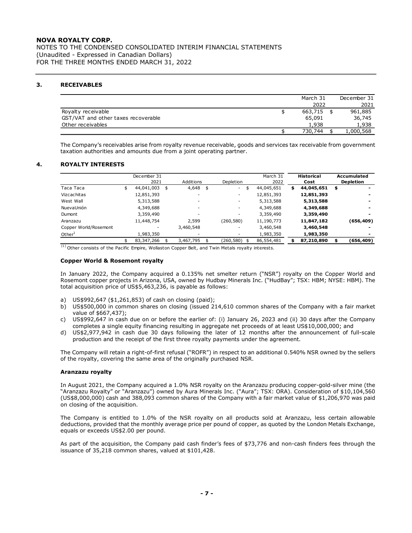NOTES TO THE CONDENSED CONSOLIDATED INTERIM FINANCIAL STATEMENTS (Unaudited - Expressed in Canadian Dollars) FOR THE THREE MONTHS ENDED MARCH 31, 2022

## 3. RECEIVABLES

| ROYALTY CORP.                                                                |                     |                    |
|------------------------------------------------------------------------------|---------------------|--------------------|
| TO THE CONDENSED CONSOLIDATED INTERIM FINANCIAL STATEMENTS                   |                     |                    |
|                                                                              |                     |                    |
|                                                                              |                     |                    |
|                                                                              |                     |                    |
|                                                                              |                     |                    |
| ited - Expressed in Canadian Dollars)<br>E THREE MONTHS ENDED MARCH 31, 2022 |                     |                    |
| <b>RECEIVABLES</b>                                                           |                     |                    |
|                                                                              | March 31            | December 31        |
|                                                                              | 2022                | 2021               |
| Royalty receivable                                                           | \$<br>$663,715$ \$  | 961,885            |
| GST/VAT and other taxes recoverable                                          | 65,091              | 36,745             |
| Other receivables                                                            | 1,938<br>730,744 \$ | 1,938<br>1,000,568 |

#### 4. ROYALTY INTERESTS

| lited - Expressed in Canadian Dollars)                                                                                                                                                                                 |                         |                 | TO THE CONDENSED CONSOLIDATED INTERIM FINANCIAL STATEMENTS |                         |                         |                  |
|------------------------------------------------------------------------------------------------------------------------------------------------------------------------------------------------------------------------|-------------------------|-----------------|------------------------------------------------------------|-------------------------|-------------------------|------------------|
| IE THREE MONTHS ENDED MARCH 31, 2022                                                                                                                                                                                   |                         |                 |                                                            |                         |                         |                  |
| <b>RECEIVABLES</b>                                                                                                                                                                                                     |                         |                 |                                                            |                         |                         |                  |
|                                                                                                                                                                                                                        |                         |                 |                                                            |                         | March 31                | December 31      |
|                                                                                                                                                                                                                        |                         |                 |                                                            |                         | 2022                    | 2021             |
| Royalty receivable                                                                                                                                                                                                     |                         |                 |                                                            | \$                      | 663,715 \$              | 961,885          |
| GST/VAT and other taxes recoverable                                                                                                                                                                                    |                         |                 |                                                            |                         | 65,091                  | 36,745           |
| Other receivables                                                                                                                                                                                                      |                         |                 |                                                            |                         | 1,938                   | 1,938            |
|                                                                                                                                                                                                                        |                         |                 |                                                            |                         |                         |                  |
|                                                                                                                                                                                                                        |                         |                 |                                                            | \$                      | 730,744                 | \$<br>1,000,568  |
| The Company's receivables arise from royalty revenue receivable, goods and services tax receivable from government<br>taxation authorities and amounts due from a joint operating partner.<br><b>ROYALTY INTERESTS</b> | December 31             |                 |                                                            | March 31                | <b>Historical</b>       | Accumulated      |
|                                                                                                                                                                                                                        | 2021                    | Additions       | Depletion                                                  | 2022                    | Cost                    | <b>Depletion</b> |
| Taca Taca<br>\$                                                                                                                                                                                                        | 44,041,003 \$           | $4,648$ \$      | \$                                                         | 44,045,651              | \$<br>44,045,651 \$     |                  |
| Vizcachitas                                                                                                                                                                                                            | 12,851,393              |                 |                                                            | 12,851,393              | 12,851,393              |                  |
| West Wall                                                                                                                                                                                                              | 5,313,588               |                 |                                                            | 5,313,588               | 5,313,588               |                  |
| NuevaUnión                                                                                                                                                                                                             | 4,349,688               |                 |                                                            | 4,349,688               | 4,349,688               |                  |
| Dumont                                                                                                                                                                                                                 | 3,359,490               |                 |                                                            | 3,359,490               | 3,359,490               |                  |
| Aranzazu                                                                                                                                                                                                               | 11,448,754              | 2,599           | (260, 580)                                                 | 11,190,773              | 11,847,182              | (656, 409)       |
| Copper World/Rosemont                                                                                                                                                                                                  |                         | 3,460,548       |                                                            | 3,460,548               | 3,460,548               |                  |
| Other <sup>1</sup><br>\$                                                                                                                                                                                               | 1,983,350<br>83,347,266 | 3,467,795<br>\$ | $(260, 580)$ \$<br>\$                                      | 1,983,350<br>86,554,481 | 1,983,350<br>87,210,890 | \$<br>(656, 409) |
|                                                                                                                                                                                                                        |                         |                 |                                                            |                         |                         |                  |

#### Copper World & Rosemont royalty

 In January 2022, the Company acquired a 0.135% net smelter return ("NSR") royalty on the Copper World and Rosemont copper projects in Arizona, USA, owned by Hudbay Minerals Inc. ("HudBay"; TSX: HBM; NYSE: HBM). The total acquisition price of US\$5,463,236, is payable as follows:

- a) US\$992,647 (\$1,261,853) of cash on closing (paid);
- b) US\$500,000 in common shares on closing (issued 214,610 common shares of the Company with a fair market value of \$667,437);
- c) US\$992,647 in cash due on or before the earlier of: (i) January 26, 2023 and (ii) 30 days after the Company completes a single equity financing resulting in aggregate net proceeds of at least US\$10,000,000; and
- d) US\$2,977,942 in cash due 30 days following the later of 12 months after the announcement of full-scale production and the receipt of the first three royalty payments under the agreement.

 The Company will retain a right-of-first refusal ("ROFR") in respect to an additional 0.540% NSR owned by the sellers of the royalty, covering the same area of the originally purchased NSR.

#### Aranzazu royalty

In August 2021, the Company acquired a 1.0% NSR royalty on the Aranzazu producing copper-gold-silver mine (the "Aranzazu Royalty" or "Aranzazu") owned by Aura Minerals Inc. ("Aura"; TSX: ORA). Consideration of \$10,104,560 (US\$8,000,000) cash and 388,093 common shares of the Company with a fair market value of \$1,206,970 was paid on closing of the acquisition.

The Company is entitled to 1.0% of the NSR royalty on all products sold at Aranzazu, less certain allowable deductions, provided that the monthly average price per pound of copper, as quoted by the London Metals Exchange, equals or exceeds US\$2.00 per pound.

As part of the acquisition, the Company paid cash finder's fees of \$73,776 and non-cash finders fees through the issuance of 35,218 common shares, valued at \$101,428.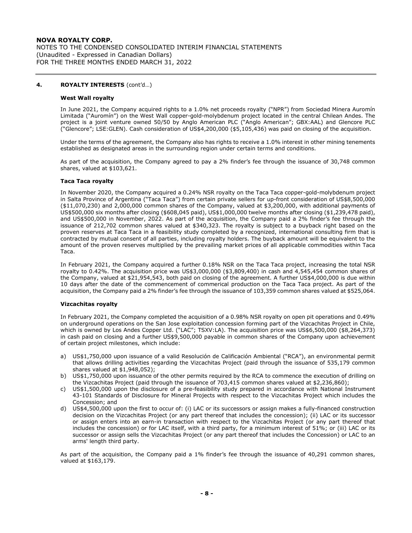## NOVA ROYALTY CORP. NOTES TO THE CONDENSED CONSOLIDATED INTERIM FINANCIAL STATEMENTS (Unaudited - Expressed in Canadian Dollars) FOR THE THREE MONTHS ENDED MARCH 31, 2022

### 4. ROYALTY INTERESTS (cont'd...)

#### West Wall royalty

In June 2021, the Company acquired rights to a 1.0% net proceeds royalty ("NPR") from Sociedad Minera Auromín Limitada ("Auromín") on the West Wall copper-gold-molybdenum project located in the central Chilean Andes. The project is a joint venture owned 50/50 by Anglo American PLC ("Anglo American"; GBX:AAL) and Glencore PLC ("Glencore"; LSE:GLEN). Cash consideration of US\$4,200,000 (\$5,105,436) was paid on closing of the acquisition.

Under the terms of the agreement, the Company also has rights to receive a 1.0% interest in other mining tenements established as designated areas in the surrounding region under certain terms and conditions.

As part of the acquisition, the Company agreed to pay a 2% finder's fee through the issuance of 30,748 common shares, valued at \$103,621.

## Taca Taca royalty

In November 2020, the Company acquired a 0.24% NSR royalty on the Taca Taca copper-gold-molybdenum project in Salta Province of Argentina ("Taca Taca") from certain private sellers for up-front consideration of US\$8,500,000 (\$11,070,230) and 2,000,000 common shares of the Company, valued at \$3,200,000, with additional payments of US\$500,000 six months after closing (\$608,045 paid), US\$1,000,000 twelve months after closing (\$1,239,478 paid), and US\$500,000 in November, 2022. As part of the acquisition, the Company paid a 2% finder's fee through the issuance of 212,702 common shares valued at \$340,323. The royalty is subject to a buyback right based on the proven reserves at Taca Taca in a feasibility study completed by a recognized, international consulting firm that is contracted by mutual consent of all parties, including royalty holders. The buyback amount will be equivalent to the amount of the proven reserves multiplied by the prevailing market prices of all applicable commodities within Taca Taca.

In February 2021, the Company acquired a further 0.18% NSR on the Taca Taca project, increasing the total NSR royalty to 0.42%. The acquisition price was US\$3,000,000 (\$3,809,400) in cash and 4,545,454 common shares of the Company, valued at \$21,954,543, both paid on closing of the agreement. A further US\$4,000,000 is due within 10 days after the date of the commencement of commerical production on the Taca Taca project. As part of the acquisition, the Company paid a 2% finder's fee through the issuance of 103,359 common shares valued at \$525,064.

#### Vizcachitas royalty

In February 2021, the Company completed the acquisition of a 0.98% NSR royalty on open pit operations and 0.49% on underground operations on the San Jose exploitation concession forming part of the Vizcachitas Project in Chile, which is owned by Los Andes Copper Ltd. ("LAC"; TSXV:LA). The acquisition price was US\$6,500,000 (\$8,264,373) in cash paid on closing and a further US\$9,500,000 payable in common shares of the Company upon achievement of certain project milestones, which include:

- a) US\$1,750,000 upon issuance of a valid Resolución de Calificación Ambiental ("RCA"), an environmental permit that allows drilling activities regarding the Vizcachitas Project (paid through the issuance of 535,179 common shares valued at \$1,948,052);
- b) US\$1,750,000 upon issuance of the other permits required by the RCA to commence the execution of drilling on the Vizcachitas Project (paid through the issuance of 703,415 common shares valued at \$2,236,860);
- c) US\$1,500,000 upon the disclosure of a pre-feasibility study prepared in accordance with National Instrument 43-101 Standards of Disclosure for Mineral Projects with respect to the Vizcachitas Project which includes the Concession; and
- d) US\$4,500,000 upon the first to occur of: (i) LAC or its successors or assign makes a fully-financed construction decision on the Vizcachitas Project (or any part thereof that includes the concession); (ii) LAC or its successor or assign enters into an earn-in transaction with respect to the Vizcachitas Project (or any part thereof that includes the concession) or for LAC itself, with a third party, for a minimum interest of 51%; or (iii) LAC or its successor or assign sells the Vizcachitas Project (or any part thereof that includes the Concession) or LAC to an arms' length third party.

As part of the acquisition, the Company paid a 1% finder's fee through the issuance of 40,291 common shares, valued at \$163,179.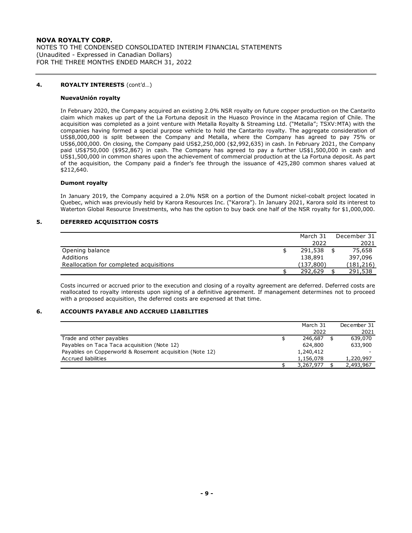NOTES TO THE CONDENSED CONSOLIDATED INTERIM FINANCIAL STATEMENTS (Unaudited - Expressed in Canadian Dollars) FOR THE THREE MONTHS ENDED MARCH 31, 2022

## 4. ROYALTY INTERESTS (cont'd...)

#### NuevaUnión royalty

In February 2020, the Company acquired an existing 2.0% NSR royalty on future copper production on the Cantarito claim which makes up part of the La Fortuna deposit in the Huasco Province in the Atacama region of Chile. The acquisition was completed as a joint venture with Metalla Royalty & Streaming Ltd. ("Metalla"; TSXV:MTA) with the companies having formed a special purpose vehicle to hold the Cantarito royalty. The aggregate consideration of US\$8,000,000 is split between the Company and Metalla, where the Company has agreed to pay 75% or US\$6,000,000. On closing, the Company paid US\$2,250,000 (\$2,992,635) in cash. In February 2021, the Company paid US\$750,000 (\$952,867) in cash. The Company has agreed to pay a further US\$1,500,000 in cash and US\$1,500,000 in common shares upon the achievement of commercial production at the La Fortuna deposit. As part of the acquisition, the Company paid a finder's fee through the issuance of 425,280 common shares valued at \$212,640.

#### Dumont royalty

## 5. DEFERRED ACQUISITION COSTS

|                                         | March 31   | December 31    |
|-----------------------------------------|------------|----------------|
|                                         | 2022       | 2021           |
| Opening balance                         | 291,538    | 75,658         |
| Additions                               | 138,891    | 397,096        |
| Reallocation for completed acquisitions | (137, 800) | (181, 216)     |
|                                         | 292,629    | <u>291,538</u> |

## 6. ACCOUNTS PAYABLE AND ACCRUED LIABILITIES

| paid US\$750,000 (\$952,867) in cash. The Company has agreed to pay a further US\$1,500,000 in cash and                                                                                                                                                                                                                                                                   |                  |             |
|---------------------------------------------------------------------------------------------------------------------------------------------------------------------------------------------------------------------------------------------------------------------------------------------------------------------------------------------------------------------------|------------------|-------------|
| US\$1,500,000 in common shares upon the achievement of commercial production at the La Fortuna deposit. As part<br>of the acquisition, the Company paid a finder's fee through the issuance of 425,280 common shares valued at<br>\$212,640.                                                                                                                              |                  |             |
| <b>Dumont royalty</b>                                                                                                                                                                                                                                                                                                                                                     |                  |             |
| In January 2019, the Company acquired a 2.0% NSR on a portion of the Dumont nickel-cobalt project located in<br>Quebec, which was previously held by Karora Resources Inc. ("Karora"). In January 2021, Karora sold its interest to<br>Waterton Global Resource Investments, who has the option to buy back one half of the NSR royalty for \$1,000,000.                  |                  |             |
| DEFERRED ACQUISITION COSTS                                                                                                                                                                                                                                                                                                                                                |                  |             |
|                                                                                                                                                                                                                                                                                                                                                                           | March 31         | December 31 |
|                                                                                                                                                                                                                                                                                                                                                                           | 2022             | 2021        |
| Opening balance                                                                                                                                                                                                                                                                                                                                                           | \$<br>291,538 \$ | 75,658      |
|                                                                                                                                                                                                                                                                                                                                                                           |                  |             |
| Additions                                                                                                                                                                                                                                                                                                                                                                 | 138,891          | 397,096     |
| Reallocation for completed acquisitions                                                                                                                                                                                                                                                                                                                                   | (137.800)        | (181, 216)  |
|                                                                                                                                                                                                                                                                                                                                                                           | \$<br>292,629 \$ | 291,538     |
| Costs incurred or accrued prior to the execution and closing of a royalty agreement are deferred. Deferred costs are<br>reallocated to royalty interests upon signing of a definitive agreement. If management determines not to proceed<br>with a proposed acquisition, the deferred costs are expensed at that time.<br><b>ACCOUNTS PAYABLE AND ACCRUED LIABILITIES</b> |                  |             |
|                                                                                                                                                                                                                                                                                                                                                                           | March 31         | December 31 |
|                                                                                                                                                                                                                                                                                                                                                                           | 2022             | 2021        |
| Trade and other payables                                                                                                                                                                                                                                                                                                                                                  | \$<br>246,687 \$ | 639,070     |
| Payables on Taca Taca acquisition (Note 12)                                                                                                                                                                                                                                                                                                                               | 624,800          | 633,900     |
| Payables on Copperworld & Rosemont acquisition (Note 12)                                                                                                                                                                                                                                                                                                                  | 1,240,412        |             |
| Accrued liabilities                                                                                                                                                                                                                                                                                                                                                       | 1,156,078        | 1,220,997   |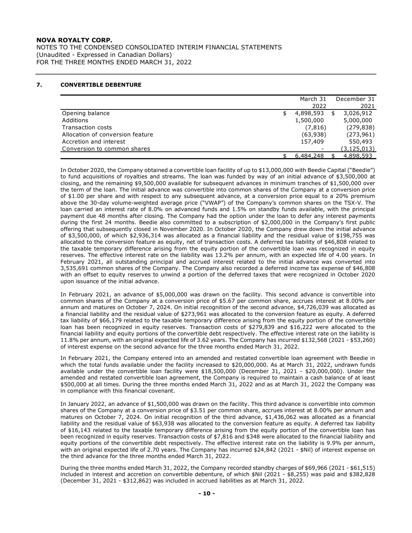NOTES TO THE CONDENSED CONSOLIDATED INTERIM FINANCIAL STATEMENTS (Unaudited - Expressed in Canadian Dollars) FOR THE THREE MONTHS ENDED MARCH 31, 2022

## 7. CONVERTIBLE DEBENTURE

|                                  | March 31  | December 31   |
|----------------------------------|-----------|---------------|
|                                  | 2022      | 2021          |
| Opening balance                  | 4,898,593 | 3,026,912     |
| Additions                        | 1,500,000 | 5,000,000     |
| Transaction costs                | (7, 816)  | (279, 838)    |
| Allocation of conversion feature | (63,938)  | (273, 961)    |
| Accretion and interest           | 157,409   | 550,493       |
| Conversion to common shares      |           | (3, 125, 013) |
|                                  | 6,484,248 | 4,898,593     |

In October 2020, the Company obtained a convertible loan facility of up to \$13,000,000 with Beedie Capital ("Beedie") to fund acquisitions of royalties and streams. The loan was funded by way of an initial advance of \$3,500,000 at closing, and the remaining \$9,500,000 available for subsequent advances in minimum tranches of \$1,500,000 over the term of the loan. The initial advance was convertible into common shares of the Company at a conversion price of \$1.00 per share and with respect to any subsequent advance, at a conversion price equal to a 20% premium above the 30-day volume-weighted average price ("VWAP") of the Company's common shares on the TSX-V. The loan carried an interest rate of 8.0% on advanced funds and 1.5% on standby funds available, with the principal payment due 48 months after closing. The Company had the option under the loan to defer any interest payments during the first 24 months. Beedie also committed to a subscription of \$2,000,000 in the Company's first public offering that subsequently closed in November 2020. In October 2020, the Company drew down the initial advance of \$3,500,000, of which \$2,936,314 was allocated as a financial liability and the residual value of \$198,755 was allocated to the conversion feature as equity, net of transaction costs. A deferred tax liability of \$46,808 related to the taxable temporary difference arising from the equity portion of the convertible loan was recognized in equity reserves. The effective interest rate on the liability was 13.2% per annum, with an expected life of 4.00 years. In February 2021, all outstanding principal and accrued interest related to the initial advance was converted into 3,535,691 common shares of the Company. The Company also recorded a deferred income tax expense of \$46,808 with an offset to equity reserves to unwind a portion of the deferred taxes that were recognized in October 2020 upon issuance of the initial advance.

In February 2021, an advance of \$5,000,000 was drawn on the facility. This second advance is convertible into common shares of the Company at a conversion price of \$5.67 per common share, accrues interest at 8.00% per annum and matures on October 7, 2024. On initial recognition of the second advance, \$4,726,039 was allocated as a financial liability and the residual value of \$273,961 was allocated to the conversion feature as equity. A deferred tax liability of \$66,179 related to the taxable temporary difference arising from the equity portion of the convertible loan has been recognized in equity reserves. Transaction costs of \$279,839 and \$16,222 were allocated to the financial liability and equity portions of the convertible debt respectively. The effective interest rate on the liability is 11.8% per annum, with an original expected life of 3.62 years. The Company has incurred \$132,568 (2021 - \$53,260) of interest expense on the second advance for the three months ended March 31, 2022.

In February 2021, the Company entered into an amended and restated convertible loan agreement with Beedie in which the total funds available under the facility increased to \$20,000,000. As at March 31, 2022, undrawn funds available under the convertible loan facility were \$18,500,000 (December 31, 2021 - \$20,000,000). Under the amended and restated convertible loan agreement, the Company is required to maintain a cash balance of at least \$500,000 at all times. During the three months ended March 31, 2022 and as at March 31, 2022 the Company was in compliance with this financial covenant.

In January 2022, an advance of \$1,500,000 was drawn on the facility. This third advance is convertible into common shares of the Company at a conversion price of \$3.51 per common share, accrues interest at 8.00% per annum and matures on October 7, 2024. On initial recognition of the third advance, \$1,436,062 was allocated as a financial liability and the residual value of \$63,938 was allocated to the conversion feature as equity. A deferred tax liability of \$16,143 related to the taxable temporary difference arising from the equity portion of the convertible loan has been recognized in equity reserves. Transaction costs of \$7,816 and \$348 were allocated to the financial liability and equity portions of the convertible debt respectively. The effective interest rate on the liability is 9.9% per annum, with an original expected life of 2.70 years. The Company has incurred \$24,842 (2021 - \$Nil) of interest expense on the third advance for the three months ended March 31, 2022.

During the three months ended March 31, 2022, the Company recorded standby charges of \$69,966 (2021 - \$61,515) included in interest and accretion on convertible debenture, of which \$Nil (2021 - \$8,255) was paid and \$382,828 (December 31, 2021 - \$312,862) was included in accrued liabilities as at March 31, 2022.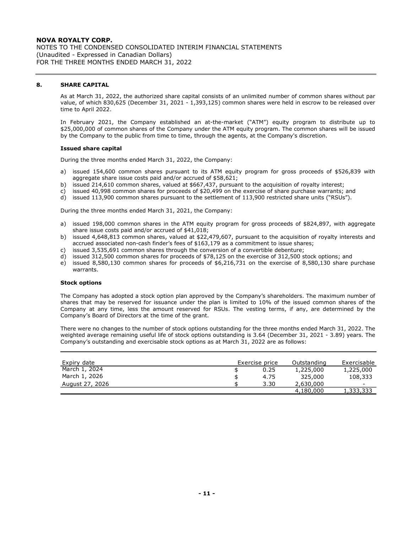NOTES TO THE CONDENSED CONSOLIDATED INTERIM FINANCIAL STATEMENTS (Unaudited - Expressed in Canadian Dollars) FOR THE THREE MONTHS ENDED MARCH 31, 2022

#### 8. SHARE CAPITAL

As at March 31, 2022, the authorized share capital consists of an unlimited number of common shares without par value, of which 830,625 (December 31, 2021 - 1,393,125) common shares were held in escrow to be released over time to April 2022.

In February 2021, the Company established an at-the-market ("ATM") equity program to distribute up to \$25,000,000 of common shares of the Company under the ATM equity program. The common shares will be issued by the Company to the public from time to time, through the agents, at the Company's discretion.

#### Issued share capital

During the three months ended March 31, 2022, the Company:

- a) issued 154,600 common shares pursuant to its ATM equity program for gross proceeds of \$526,839 with aggregate share issue costs paid and/or accrued of \$58,621;
- b) issued 214,610 common shares, valued at \$667,437, pursuant to the acquisition of royalty interest;
- c) issued 40,998 common shares for proceeds of \$20,499 on the exercise of share purchase warrants; and
- d) issued 113,900 common shares pursuant to the settlement of 113,900 restricted share units ("RSUs").

During the three months ended March 31, 2021, the Company:

- a) issued 198,000 common shares in the ATM equity program for gross proceeds of \$824,897, with aggregate share issue costs paid and/or accrued of \$41,018;
- b) issued 4,648,813 common shares, valued at \$22,479,607, pursuant to the acquisition of royalty interests and accrued associated non-cash finder's fees of \$163,179 as a commitment to issue shares;
- c) issued 3,535,691 common shares through the conversion of a convertible debenture;
- d) issued 312,500 common shares for proceeds of \$78,125 on the exercise of 312,500 stock options; and
- e) issued 8,580,130 common shares for proceeds of \$6,216,731 on the exercise of 8,580,130 share purchase warrants.

#### Stock options

The Company has adopted a stock option plan approved by the Company's shareholders. The maximum number of shares that may be reserved for issuance under the plan is limited to 10% of the issued common shares of the Company at any time, less the amount reserved for RSUs. The vesting terms, if any, are determined by the Company's Board of Directors at the time of the grant.

There were no changes to the number of stock options outstanding for the three months ended March 31, 2022. The weighted average remaining useful life of stock options outstanding is 3.64 (December 31, 2021 - 3.89) years. The Company's outstanding and exercisable stock options as at March 31, 2022 are as follows:

| Expiry date     | Exercise price | Outstanding | Exercisable              |  |
|-----------------|----------------|-------------|--------------------------|--|
| March 1, 2024   | 0.25           | 1,225,000   | 1,225,000                |  |
| March 1, 2026   | 4.75           | 325,000     | 108,333                  |  |
| August 27, 2026 | 3.30           | 2,630,000   | $\overline{\phantom{0}}$ |  |
|                 |                | 4,180,000   | 1,333,333                |  |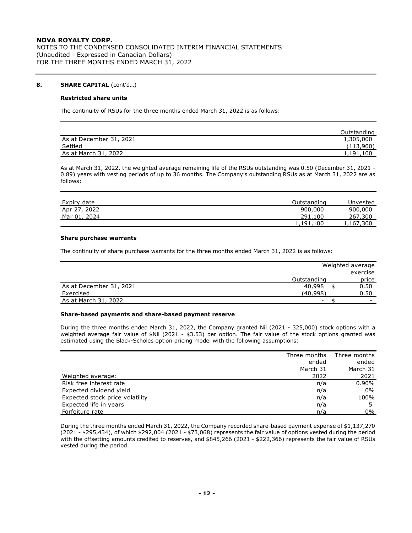NOTES TO THE CONDENSED CONSOLIDATED INTERIM FINANCIAL STATEMENTS (Unaudited - Expressed in Canadian Dollars) FOR THE THREE MONTHS ENDED MARCH 31, 2022

## 8. **SHARE CAPITAL** (cont'd...)

### Restricted share units

The continuity of RSUs for the three months ended March 31, 2022 is as follows:

|                          | <b>Jutstanding</b> |
|--------------------------|--------------------|
| As at December 31, 2021  | 1,305,000          |
| Settled                  | (113,900)          |
| 2022<br>As at March 31,. | 1,191,100          |
|                          |                    |

As at March 31, 2022, the weighted average remaining life of the RSUs outstanding was 0.50 (December 31, 2021 - 0.89) years with vesting periods of up to 36 months. The Company's outstanding RSUs as at March 31, 2022 are as follows:

| Expiry<br>date                      | itstanding<br>Ju†              | Unvested     |
|-------------------------------------|--------------------------------|--------------|
| 2022<br>$\sim$ $-$<br>Apr<br>$\sim$ | 900,000                        | 900,000<br>. |
| ∕ ר∩ר<br>Mar 01<br>74<br>20Z        | 291,100                        | 267,300      |
|                                     | 101<br>100<br><b>L,LJI,LUU</b> | 1,167,300    |

#### Share purchase warrants

The continuity of share purchase warrants for the three months ended March 31, 2022 is as follows:

|                         |             | Weighted average |
|-------------------------|-------------|------------------|
|                         |             | exercise         |
|                         | Outstanding | price            |
| As at December 31, 2021 | 40,998      | 0.50             |
| Exercised               | (40, 998)   | 0.50             |
| As at March 31, 2022    |             |                  |

### Share-based payments and share-based payment reserve

During the three months ended March 31, 2022, the Company granted Nil (2021 - 325,000) stock options with a weighted average fair value of \$Nil (2021 - \$3.53) per option. The fair value of the stock options granted was estimated using the Black-Scholes option pricing model with the following assumptions:

|                                 | Three months | Three months |  |
|---------------------------------|--------------|--------------|--|
|                                 | ended        | ended        |  |
|                                 | March 31     | March 31     |  |
| Weighted average:               | 2022         | 2021         |  |
| Risk free interest rate         | n/a          | $0.90\%$     |  |
| Expected dividend yield         | n/a          | 0%           |  |
| Expected stock price volatility | n/a          | 100%         |  |
| Expected life in years          | n/a          |              |  |
| Forfeiture rate                 | n/a          | 0%           |  |

During the three months ended March 31, 2022, the Company recorded share-based payment expense of \$1,137,270 (2021 - \$295,434), of which \$292,004 (2021 - \$73,068) represents the fair value of options vested during the period with the offsetting amounts credited to reserves, and \$845,266 (2021 - \$222,366) represents the fair value of RSUs vested during the period.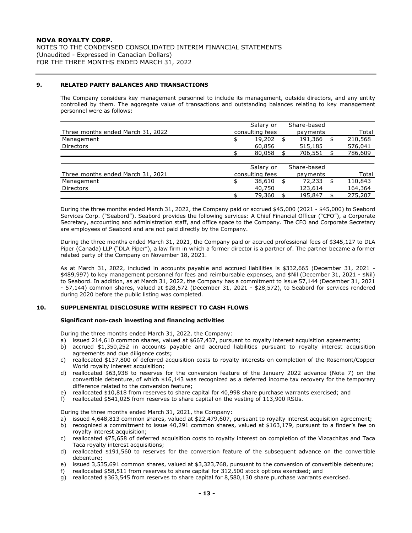NOTES TO THE CONDENSED CONSOLIDATED INTERIM FINANCIAL STATEMENTS (Unaudited - Expressed in Canadian Dollars) FOR THE THREE MONTHS ENDED MARCH 31, 2022

## 9. RELATED PARTY BALANCES AND TRANSACTIONS

The Company considers key management personnel to include its management, outside directors, and any entity controlled by them. The aggregate value of transactions and outstanding balances relating to key management personnel were as follows:

|                                   | Salary or       | Share-based |         |
|-----------------------------------|-----------------|-------------|---------|
| Three months ended March 31, 2022 | consulting fees | payments    | Total   |
| Management                        | 19,202          | 191,366     | 210,568 |
| <b>Directors</b>                  | 60,856          | 515,185     | 576,041 |
|                                   | 80,058          | 706,551     | 786,609 |
|                                   |                 |             |         |
|                                   | Salary or       | Share-based |         |
| Three months ended March 31, 2021 | consulting fees | payments    | Total   |
| Management                        | 38,610          | 72,233      | 110,843 |
| <b>Directors</b>                  | 40,750          | 123,614     | 164,364 |
|                                   | 79,360          | 195,847     | 275,207 |

During the three months ended March 31, 2022, the Company paid or accrued \$45,000 (2021 - \$45,000) to Seabord Services Corp. ("Seabord"). Seabord provides the following services: A Chief Financial Officer ("CFO"), a Corporate Secretary, accounting and administration staff, and office space to the Company. The CFO and Corporate Secretary are employees of Seabord and are not paid directly by the Company.

During the three months ended March 31, 2021, the Company paid or accrued professional fees of \$345,127 to DLA Piper (Canada) LLP ("DLA Piper"), a law firm in which a former director is a partner of. The partner became a former related party of the Company on November 18, 2021.

As at March 31, 2022, included in accounts payable and accrued liabilities is \$332,665 (December 31, 2021 - \$489,997) to key management personnel for fees and reimbursable expenses, and \$Nil (December 31, 2021 - \$Nil) to Seabord. In addition, as at March 31, 2022, the Company has a commitment to issue 57,144 (December 31, 2021 - 57,144) common shares, valued at \$28,572 (December 31, 2021 - \$28,572), to Seabord for services rendered during 2020 before the public listing was completed.

### 10. SUPPLEMENTAL DISCLOSURE WITH RESPECT TO CASH FLOWS

#### Significant non-cash investing and financing activities

During the three months ended March 31, 2022, the Company:

- a) issued 214,610 common shares, valued at \$667,437, pursuant to royalty interest acquisition agreements;
- b) accrued \$1,350,252 in accounts payable and accrued liabilities pursuant to royalty interest acquisition agreements and due diligence costs;
- c) reallocated \$137,800 of deferred acquisition costs to royalty interests on completion of the Rosemont/Copper World royalty interest acquisition;
- d) reallocated \$63,938 to reserves for the conversion feature of the January 2022 advance (Note 7) on the convertible debenture, of which \$16,143 was recognized as a deferred income tax recovery for the temporary difference related to the conversion feature;
- e) reallocated \$10,818 from reserves to share capital for 40,998 share purchase warrants exercised; and
- f) reallocated \$541,025 from reserves to share capital on the vesting of 113,900 RSUs.

During the three months ended March 31, 2021, the Company:

- a) issued 4,648,813 common shares, valued at \$22,479,607, pursuant to royalty interest acquisition agreement;
- b) recognized a commitment to issue 40,291 common shares, valued at \$163,179, pursuant to a finder's fee on royalty interest acquisition;
- c) reallocated \$75,658 of deferred acquisition costs to royalty interest on completion of the Vizcachitas and Taca Taca royalty interest acquisitions;
- d) reallocated \$191,560 to reserves for the conversion feature of the subsequent advance on the convertible debenture;
- e) issued 3,535,691 common shares, valued at \$3,323,768, pursuant to the conversion of convertible debenture;
- f) reallocated \$58,511 from reserves to share capital for 312,500 stock options exercised; and
- g) reallocated \$363,545 from reserves to share capital for 8,580,130 share purchase warrants exercised.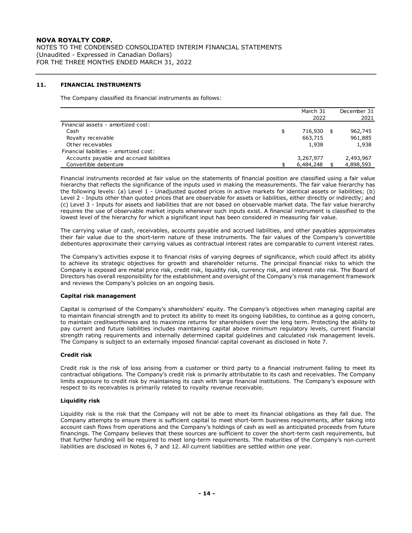NOTES TO THE CONDENSED CONSOLIDATED INTERIM FINANCIAL STATEMENTS (Unaudited - Expressed in Canadian Dollars) FOR THE THREE MONTHS ENDED MARCH 31, 2022

## 11. FINANCIAL INSTRUMENTS

| ROYALTY CORP.                                                     |                        |                        |
|-------------------------------------------------------------------|------------------------|------------------------|
| TO THE CONDENSED CONSOLIDATED INTERIM FINANCIAL STATEMENTS        |                        |                        |
| ited - Expressed in Canadian Dollars)                             |                        |                        |
| E THREE MONTHS ENDED MARCH 31, 2022                               |                        |                        |
|                                                                   |                        |                        |
|                                                                   |                        |                        |
|                                                                   |                        |                        |
| <b>FINANCIAL INSTRUMENTS</b>                                      |                        |                        |
|                                                                   |                        |                        |
|                                                                   |                        |                        |
|                                                                   | March 31               | December 31            |
| The Company classified its financial instruments as follows:      | 2022                   | 2021                   |
| Financial assets - amortized cost:                                |                        |                        |
| Cash                                                              | \$<br>716,930 \$       | 962,745                |
| Royalty receivable                                                | 663,715                | 961,885                |
| Other receivables                                                 | 1,938                  | 1,938                  |
| Financial liabilities - amortized cost:                           |                        |                        |
| Accounts payable and accrued liabilities<br>Convertible debenture | 3,267,977<br>6,484,248 | 2,493,967<br>4,898,593 |

Financial instruments recorded at fair value on the statements of financial position are classified using a fair value hierarchy that reflects the significance of the inputs used in making the measurements. The fair value hierarchy has the following levels: (a) Level 1 - Unadjusted quoted prices in active markets for identical assets or liabilities; (b) Level 2 - Inputs other than quoted prices that are observable for assets or liabilities, either directly or indirectly; and (c) Level 3 - Inputs for assets and liabilities that are not based on observable market data. The fair value hierarchy requires the use of observable market inputs whenever such inputs exist. A financial instrument is classified to the lowest level of the hierarchy for which a significant input has been considered in measuring fair value.

The carrying value of cash, receivables, accounts payable and accrued liabilities, and other payables approximates their fair value due to the short-term nature of these instruments. The fair values of the Company's convertible debentures approximate their carrying values as contractual interest rates are comparable to current interest rates.

The Company's activities expose it to financial risks of varying degrees of significance, which could affect its ability to achieve its strategic objectives for growth and shareholder returns. The principal financial risks to which the Company is exposed are metal price risk, credit risk, liquidity risk, currency risk, and interest rate risk. The Board of Directors has overall responsibility for the establishment and oversight of the Company's risk management framework and reviews the Company's policies on an ongoing basis.

#### Capital risk management

Capital is comprised of the Company's shareholders' equity. The Company's objectives when managing capital are to maintain financial strength and to protect its ability to meet its ongoing liabilities, to continue as a going concern, to maintain creditworthiness and to maximize returns for shareholders over the long term. Protecting the ability to pay current and future liabilities includes maintaining capital above minimum regulatory levels, current financial strength rating requirements and internally determined capital guidelines and calculated risk management levels. The Company is subject to an externally imposed financial capital covenant as disclosed in Note 7.

#### Credit risk

Credit risk is the risk of loss arising from a customer or third party to a financial instrument failing to meet its contractual obligations. The Company's credit risk is primarily attributable to its cash and receivables. The Company limits exposure to credit risk by maintaining its cash with large financial institutions. The Company's exposure with respect to its receivables is primarily related to royalty revenue receivable.

#### Liquidity risk

Liquidity risk is the risk that the Company will not be able to meet its financial obligations as they fall due. The Company attempts to ensure there is sufficient capital to meet short-term business requirements, after taking into account cash flows from operations and the Company's holdings of cash as well as anticipated proceeds from future financings. The Company believes that these sources are sufficient to cover the short-term cash requirements, but that further funding will be required to meet long-term requirements. The maturities of the Company's non‐current liabilities are disclosed in Notes 6, 7 and 12. All current liabilities are settled within one year.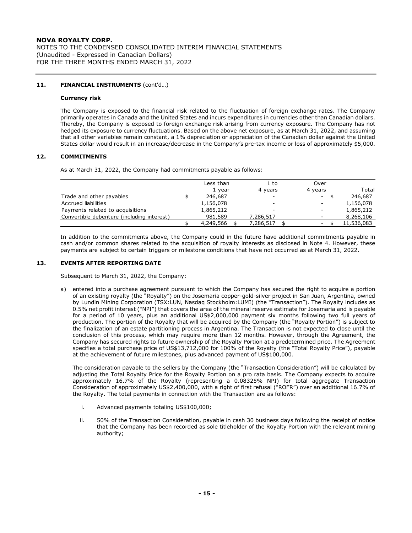## 11. FINANCIAL INSTRUMENTS (cont'd...)

#### Currency risk

## 12. COMMITMENTS

| ROYALTY CORP.<br>TO THE CONDENSED CONSOLIDATED INTERIM FINANCIAL STATEMENTS<br>ited - Expressed in Canadian Dollars)<br>E THREE MONTHS ENDED MARCH 31, 2022                                                                                                                                                                                                                                                                                                                                                                                                                                                                                                                                                                                                                                                                  |                      |           |         |                        |
|------------------------------------------------------------------------------------------------------------------------------------------------------------------------------------------------------------------------------------------------------------------------------------------------------------------------------------------------------------------------------------------------------------------------------------------------------------------------------------------------------------------------------------------------------------------------------------------------------------------------------------------------------------------------------------------------------------------------------------------------------------------------------------------------------------------------------|----------------------|-----------|---------|------------------------|
| <b>FINANCIAL INSTRUMENTS (cont'd)</b>                                                                                                                                                                                                                                                                                                                                                                                                                                                                                                                                                                                                                                                                                                                                                                                        |                      |           |         |                        |
| <b>Currency risk</b>                                                                                                                                                                                                                                                                                                                                                                                                                                                                                                                                                                                                                                                                                                                                                                                                         |                      |           |         |                        |
|                                                                                                                                                                                                                                                                                                                                                                                                                                                                                                                                                                                                                                                                                                                                                                                                                              |                      |           |         |                        |
|                                                                                                                                                                                                                                                                                                                                                                                                                                                                                                                                                                                                                                                                                                                                                                                                                              |                      |           |         |                        |
| The Company is exposed to the financial risk related to the fluctuation of foreign exchange rates. The Company<br>primarily operates in Canada and the United States and incurs expenditures in currencies other than Canadian dollars.<br>Thereby, the Company is exposed to foreign exchange risk arising from currency exposure. The Company has not<br>hedged its exposure to currency fluctuations. Based on the above net exposure, as at March 31, 2022, and assuming<br>that all other variables remain constant, a 1% depreciation or appreciation of the Canadian dollar against the United<br>States dollar would result in an increase/decrease in the Company's pre-tax income or loss of approximately \$5,000.<br><b>COMMITMENTS</b><br>As at March 31, 2022, the Company had commitments payable as follows: |                      |           |         |                        |
|                                                                                                                                                                                                                                                                                                                                                                                                                                                                                                                                                                                                                                                                                                                                                                                                                              | Less than            | 1 to      | Over    |                        |
|                                                                                                                                                                                                                                                                                                                                                                                                                                                                                                                                                                                                                                                                                                                                                                                                                              | 1 year               | 4 years   | 4 years | Total                  |
| Trade and other payables                                                                                                                                                                                                                                                                                                                                                                                                                                                                                                                                                                                                                                                                                                                                                                                                     | 246,687              |           | \$      | 246,687                |
| <b>Accrued liabilities</b>                                                                                                                                                                                                                                                                                                                                                                                                                                                                                                                                                                                                                                                                                                                                                                                                   | 1,156,078            |           |         | 1,156,078              |
| Payments related to acquisitions<br>Convertible debenture (including interest)                                                                                                                                                                                                                                                                                                                                                                                                                                                                                                                                                                                                                                                                                                                                               | 1,865,212<br>981,589 | 7,286,517 |         | 1,865,212<br>8,268,106 |

## 13. EVENTS AFTER REPORTING DATE

Subsequent to March 31, 2022, the Company:

a) entered into a purchase agreement pursuant to which the Company has secured the right to acquire a portion of an existing royalty (the "Royalty") on the Josemaria copper-gold-silver project in San Juan, Argentina, owned by Lundin Mining Corporation (TSX:LUN, Nasdaq Stockholm:LUMI) (the "Transaction"). The Royalty includes as 0.5% net profit interest ("NPI") that covers the area of the mineral reserve estimate for Josemaria and is payable for a period of 10 years, plus an additional US\$2,000,000 payment six months following two full years of production. The portion of the Royalty that will be acquired by the Company (the "Royalty Portion") is subject to the finalization of an estate partitioning process in Argentina. The Transaction is not expected to close until the conclusion of this process, which may require more than 12 months. However, through the Agreement, the Company has secured rights to future ownership of the Royalty Portion at a predetermined price. The Agreement specifies a total purchase price of US\$13,712,000 for 100% of the Royalty (the "Total Royalty Price"), payable at the achievement of future milestones, plus advanced payment of US\$100,000.

The consideration payable to the sellers by the Company (the "Transaction Consideration") will be calculated by adjusting the Total Royalty Price for the Royalty Portion on a pro rata basis. The Company expects to acquire approximately 16.7% of the Royalty (representing a 0.08325% NPI) for total aggregate Transaction Consideration of approximately US\$2,400,000, with a right of first refusal ("ROFR") over an additional 16.7% of the Royalty. The total payments in connection with the Transaction are as follows:

- i. Advanced payments totaling US\$100,000;
- ii. 50% of the Transaction Consideration, payable in cash 30 business days following the receipt of notice that the Company has been recorded as sole titleholder of the Royalty Portion with the relevant mining authority;